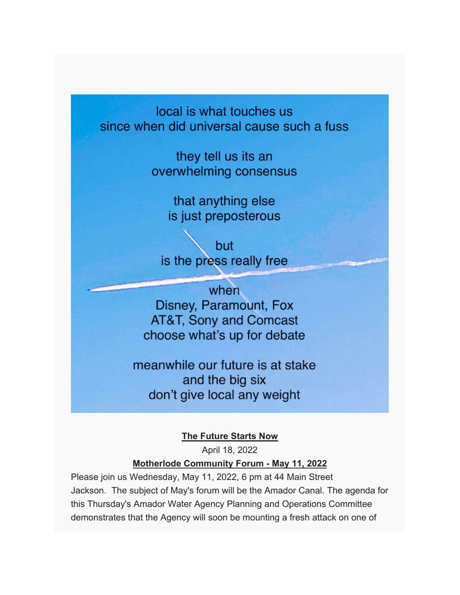local is what touches us since when did universal cause such a fuss

> they tell us its an overwhelming consensus

> > that anything else is just preposterous

but is the press really free

when Disney, Paramount, Fox **AT&T, Sony and Comcast** choose what's up for debate

meanwhile our future is at stake and the big six don't give local any weight

**The Future Starts Now**

April 18, 2022

## **Motherlode Community Forum - May 11, 2022**

Please join us Wednesday, May 11, 2022, 6 pm at 44 Main Street Jackson. The subject of May's forum will be the Amador Canal. The agenda for this Thursday's Amador Water Agency Planning and Operations Committee demonstrates that the Agency will soon be mounting a fresh attack on one of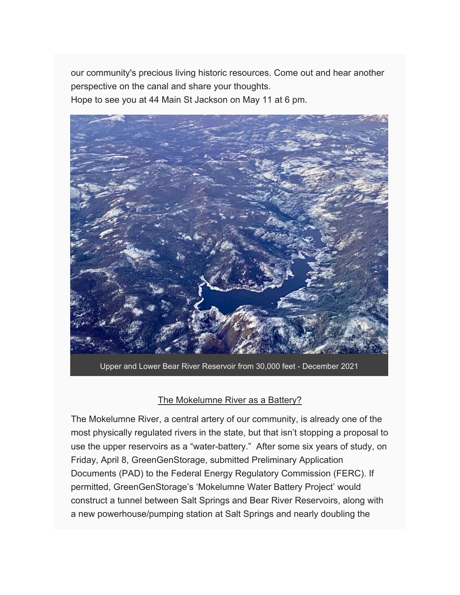our community's precious living historic resources. Come out and hear another perspective on the canal and share your thoughts. Hope to see you at 44 Main St Jackson on May 11 at 6 pm.



Upper and Lower Bear River Reservoir from 30,000 feet - December 2021

## The Mokelumne River as a Battery?

The Mokelumne River, a central artery of our community, is already one of the most physically regulated rivers in the state, but that isn't stopping a proposal to use the upper reservoirs as a "water-battery." After some six years of study, on Friday, April 8, GreenGenStorage, submitted Preliminary Application Documents (PAD) to the Federal Energy Regulatory Commission (FERC). If permitted, GreenGenStorage's 'Mokelumne Water Battery Project' would construct a tunnel between Salt Springs and Bear River Reservoirs, along with a new powerhouse/pumping station at Salt Springs and nearly doubling the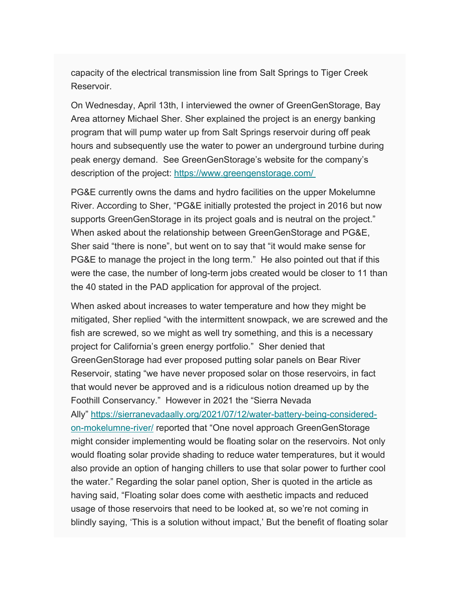capacity of the electrical transmission line from Salt Springs to Tiger Creek Reservoir.

On Wednesday, April 13th, I interviewed the owner of GreenGenStorage, Bay Area attorney Michael Sher. Sher explained the project is an energy banking program that will pump water up from Salt Springs reservoir during off peak hours and subsequently use the water to power an underground turbine during peak energy demand. See GreenGenStorage's website for the company's description of the project: https://www.greengenstorage.com/

PG&E currently owns the dams and hydro facilities on the upper Mokelumne River. According to Sher, "PG&E initially protested the project in 2016 but now supports GreenGenStorage in its project goals and is neutral on the project." When asked about the relationship between GreenGenStorage and PG&E, Sher said "there is none", but went on to say that "it would make sense for PG&E to manage the project in the long term." He also pointed out that if this were the case, the number of long-term jobs created would be closer to 11 than the 40 stated in the PAD application for approval of the project.

When asked about increases to water temperature and how they might be mitigated, Sher replied "with the intermittent snowpack, we are screwed and the fish are screwed, so we might as well try something, and this is a necessary project for California's green energy portfolio." Sher denied that GreenGenStorage had ever proposed putting solar panels on Bear River Reservoir, stating "we have never proposed solar on those reservoirs, in fact that would never be approved and is a ridiculous notion dreamed up by the Foothill Conservancy." However in 2021 the "Sierra Nevada Ally" https://sierranevadaally.org/2021/07/12/water-battery-being-consideredon-mokelumne-river/ reported that "One novel approach GreenGenStorage might consider implementing would be floating solar on the reservoirs. Not only would floating solar provide shading to reduce water temperatures, but it would also provide an option of hanging chillers to use that solar power to further cool the water." Regarding the solar panel option, Sher is quoted in the article as having said, "Floating solar does come with aesthetic impacts and reduced usage of those reservoirs that need to be looked at, so we're not coming in blindly saying, 'This is a solution without impact,' But the benefit of floating solar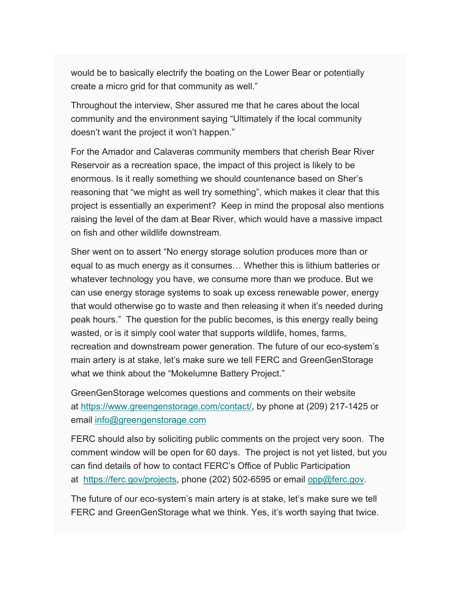would be to basically electrify the boating on the Lower Bear or potentially create a micro grid for that community as well."

Throughout the interview, Sher assured me that he cares about the local community and the environment saying "Ultimately if the local community doesn't want the project it won't happen."

For the Amador and Calaveras community members that cherish Bear River Reservoir as a recreation space, the impact of this project is likely to be enormous. Is it really something we should countenance based on Sher's reasoning that "we might as well try something", which makes it clear that this project is essentially an experiment? Keep in mind the proposal also mentions raising the level of the dam at Bear River, which would have a massive impact on fish and other wildlife downstream.

Sher went on to assert "No energy storage solution produces more than or equal to as much energy as it consumes… Whether this is lithium batteries or whatever technology you have, we consume more than we produce. But we can use energy storage systems to soak up excess renewable power, energy that would otherwise go to waste and then releasing it when it's needed during peak hours." The question for the public becomes, is this energy really being wasted, or is it simply cool water that supports wildlife, homes, farms, recreation and downstream power generation. The future of our eco-system's main artery is at stake, let's make sure we tell FERC and GreenGenStorage what we think about the "Mokelumne Battery Project."

GreenGenStorage welcomes questions and comments on their website at https://www.greengenstorage.com/contact/, by phone at (209) 217-1425 or email info@greengenstorage.com

FERC should also by soliciting public comments on the project very soon. The comment window will be open for 60 days. The project is not yet listed, but you can find details of how to contact FERC's Office of Public Participation at https://ferc.gov/projects, phone (202) 502-6595 or email opp@ferc.gov.

The future of our eco-system's main artery is at stake, let's make sure we tell FERC and GreenGenStorage what we think. Yes, it's worth saying that twice.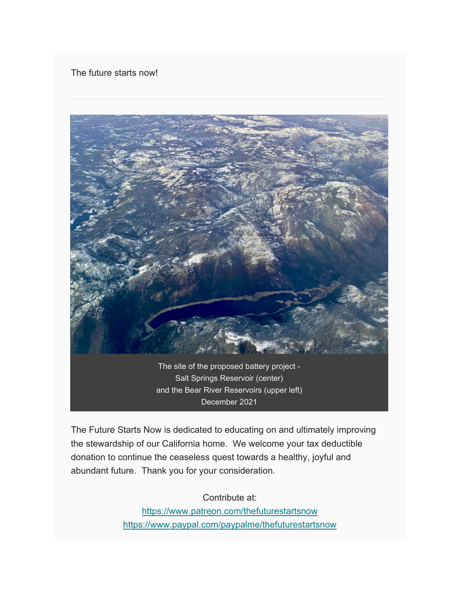## The future starts now!



December 2021

The Future Starts Now is dedicated to educating on and ultimately improving the stewardship of our California home. We welcome your tax deductible donation to continue the ceaseless quest towards a healthy, joyful and abundant future. Thank you for your consideration.

Contribute at:

https://www.patreon.com/thefuturestartsnow https://www.paypal.com/paypalme/thefuturestartsnow